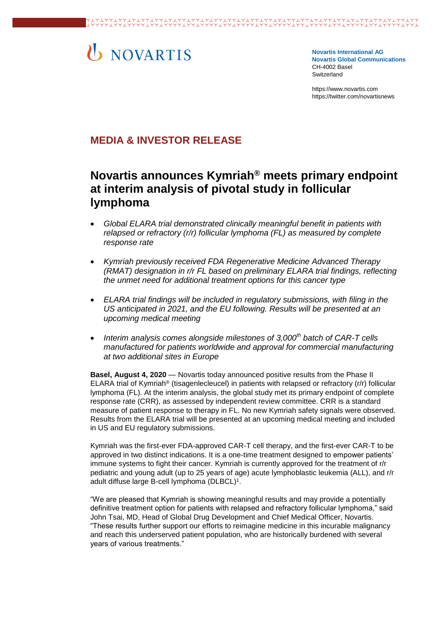# U NOVARTIS

**Novartis International AG Novartis Global Communications**  CH-4002 Basel Switzerland

[https://www.novartis.com](https://www.novartis.com/) https://twitter.com/novartisnews

## **MEDIA & INVESTOR RELEASE**

## **Novartis announces Kymriah® meets primary endpoint at interim analysis of pivotal study in follicular lymphoma**

- *Global ELARA trial demonstrated clinically meaningful benefit in patients with relapsed or refractory (r/r) follicular lymphoma (FL) as measured by complete response rate*
- *Kymriah previously received FDA Regenerative Medicine Advanced Therapy (RMAT)* designation in r/r FL based on preliminary ELARA trial findings, reflecting *the unmet need for additional treatment options for this cancer type*
- *ELARA trial findings will be included in regulatory submissions, with filing in the US anticipated in 2021, and the EU following. Results will be presented at an upcoming medical meeting*
- *Interim analysis comes alongside milestones of 3,000th batch of CAR-T cells manufactured for patients worldwide and approval for commercial manufacturing at two additional sites in Europe*

**Basel, August 4, 2020** — Novartis today announced positive results from the Phase II ELARA trial of Kymriah® (tisagenlecleucel) in patients with relapsed or refractory (r/r) follicular lymphoma (FL). At the interim analysis, the global study met its primary endpoint of complete response rate (CRR), as assessed by independent review committee. CRR is a standard measure of patient response to therapy in FL. No new Kymriah safety signals were observed. Results from the ELARA trial will be presented at an upcoming medical meeting and included in US and EU regulatory submissions.

Kymriah was the first-ever FDA-approved CAR-T cell therapy, and the first-ever CAR-T to be approved in two distinct indications. It is a one-time treatment designed to empower patients' immune systems to fight their cancer. Kymriah is currently approved for the treatment of r/r pediatric and young adult (up to 25 years of age) acute lymphoblastic leukemia (ALL), and r/r adult diffuse large B-cell lymphoma (DLBCL)<sup>1</sup>.

"We are pleased that Kymriah is showing meaningful results and may provide a potentially definitive treatment option for patients with relapsed and refractory follicular lymphoma," said John Tsai, MD, Head of Global Drug Development and Chief Medical Officer, Novartis. "These results further support our efforts to reimagine medicine in this incurable malignancy and reach this underserved patient population, who are historically burdened with several years of various treatments."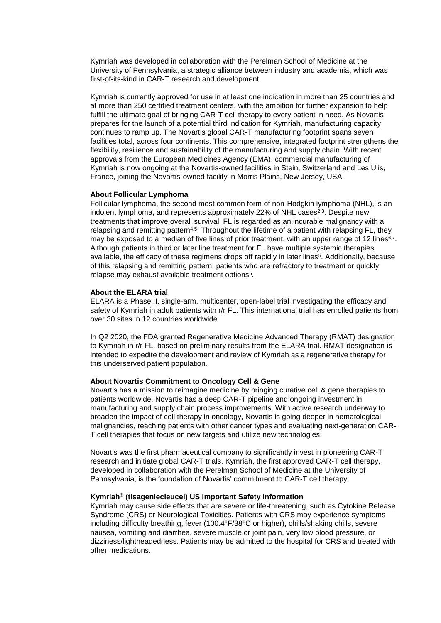Kymriah was developed in collaboration with the Perelman School of Medicine at the University of Pennsylvania, a strategic alliance between industry and academia, which was first-of-its-kind in CAR-T research and development.

Kymriah is currently approved for use in at least one indication in more than 25 countries and at more than 250 certified treatment centers, with the ambition for further expansion to help fulfill the ultimate goal of bringing CAR-T cell therapy to every patient in need. As Novartis prepares for the launch of a potential third indication for Kymriah, manufacturing capacity continues to ramp up. The Novartis global CAR-T manufacturing footprint spans seven facilities total, across four continents. This comprehensive, integrated footprint strengthens the flexibility, resilience and sustainability of the manufacturing and supply chain. With recent approvals from the European Medicines Agency (EMA), commercial manufacturing of Kymriah is now ongoing at the Novartis-owned facilities in Stein, Switzerland and Les Ulis, France, joining the Novartis-owned facility in Morris Plains, New Jersey, USA.

#### **About Follicular Lymphoma**

Follicular lymphoma, the second most common form of non-Hodgkin lymphoma (NHL), is an indolent lymphoma, and represents approximately 22% of NHL cases<sup>2,3</sup>. Despite new treatments that improve overall survival, FL is regarded as an incurable malignancy with a relapsing and remitting pattern<sup>4,5</sup>. Throughout the lifetime of a patient with relapsing FL, they may be exposed to a median of five lines of prior treatment, with an upper range of 12 lines6,7. Although patients in third or later line treatment for FL have multiple systemic therapies available, the efficacy of these regimens drops off rapidly in later lines<sup>5</sup>. Additionally, because of this relapsing and remitting pattern, patients who are refractory to treatment or quickly relapse may exhaust available treatment options<sup>5</sup>.

#### **About the ELARA trial**

ELARA is a Phase II, single-arm, multicenter, open-label trial investigating the efficacy and safety of Kymriah in adult patients with r/r FL. This international trial has enrolled patients from over 30 sites in 12 countries worldwide.

In Q2 2020, the FDA granted Regenerative Medicine Advanced Therapy (RMAT) designation to Kymriah in r/r FL, based on preliminary results from the ELARA trial. RMAT designation is intended to expedite the development and review of Kymriah as a regenerative therapy for this underserved patient population.

#### **About Novartis Commitment to Oncology Cell & Gene**

Novartis has a mission to reimagine medicine by bringing curative cell & gene therapies to patients worldwide. Novartis has a deep CAR-T pipeline and ongoing investment in manufacturing and supply chain process improvements. With active research underway to broaden the impact of cell therapy in oncology, Novartis is going deeper in hematological malignancies, reaching patients with other cancer types and evaluating next-generation CAR-T cell therapies that focus on new targets and utilize new technologies.

Novartis was the first pharmaceutical company to significantly invest in pioneering CAR-T research and initiate global CAR-T trials. Kymriah, the first approved CAR-T cell therapy, developed in collaboration with the Perelman School of Medicine at the University of Pennsylvania, is the foundation of Novartis' commitment to CAR-T cell therapy.

#### **Kymriah® (tisagenlecleucel) US Important Safety information**

Kymriah may cause side effects that are severe or life-threatening, such as Cytokine Release Syndrome (CRS) or Neurological Toxicities. Patients with CRS may experience symptoms including difficulty breathing, fever (100.4°F/38°C or higher), chills/shaking chills, severe nausea, vomiting and diarrhea, severe muscle or joint pain, very low blood pressure, or dizziness/lightheadedness. Patients may be admitted to the hospital for CRS and treated with other medications.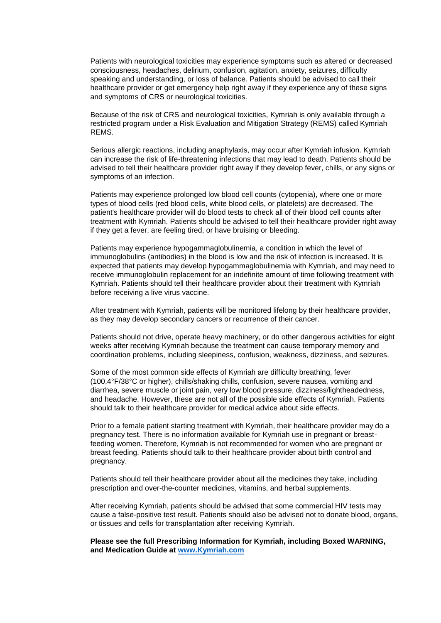Patients with neurological toxicities may experience symptoms such as altered or decreased consciousness, headaches, delirium, confusion, agitation, anxiety, seizures, difficulty speaking and understanding, or loss of balance. Patients should be advised to call their healthcare provider or get emergency help right away if they experience any of these signs and symptoms of CRS or neurological toxicities.

Because of the risk of CRS and neurological toxicities, Kymriah is only available through a restricted program under a Risk Evaluation and Mitigation Strategy (REMS) called Kymriah REMS.

Serious allergic reactions, including anaphylaxis, may occur after Kymriah infusion. Kymriah can increase the risk of life-threatening infections that may lead to death. Patients should be advised to tell their healthcare provider right away if they develop fever, chills, or any signs or symptoms of an infection.

Patients may experience prolonged low blood cell counts (cytopenia), where one or more types of blood cells (red blood cells, white blood cells, or platelets) are decreased. The patient's healthcare provider will do blood tests to check all of their blood cell counts after treatment with Kymriah. Patients should be advised to tell their healthcare provider right away if they get a fever, are feeling tired, or have bruising or bleeding.

Patients may experience hypogammaglobulinemia, a condition in which the level of immunoglobulins (antibodies) in the blood is low and the risk of infection is increased. It is expected that patients may develop hypogammaglobulinemia with Kymriah, and may need to receive immunoglobulin replacement for an indefinite amount of time following treatment with Kymriah. Patients should tell their healthcare provider about their treatment with Kymriah before receiving a live virus vaccine.

After treatment with Kymriah, patients will be monitored lifelong by their healthcare provider, as they may develop secondary cancers or recurrence of their cancer.

Patients should not drive, operate heavy machinery, or do other dangerous activities for eight weeks after receiving Kymriah because the treatment can cause temporary memory and coordination problems, including sleepiness, confusion, weakness, dizziness, and seizures.

Some of the most common side effects of Kymriah are difficulty breathing, fever (100.4°F/38°C or higher), chills/shaking chills, confusion, severe nausea, vomiting and diarrhea, severe muscle or joint pain, very low blood pressure, dizziness/lightheadedness, and headache. However, these are not all of the possible side effects of Kymriah. Patients should talk to their healthcare provider for medical advice about side effects.

Prior to a female patient starting treatment with Kymriah, their healthcare provider may do a pregnancy test. There is no information available for Kymriah use in pregnant or breastfeeding women. Therefore, Kymriah is not recommended for women who are pregnant or breast feeding. Patients should talk to their healthcare provider about birth control and pregnancy.

Patients should tell their healthcare provider about all the medicines they take, including prescription and over-the-counter medicines, vitamins, and herbal supplements.

After receiving Kymriah, patients should be advised that some commercial HIV tests may cause a false-positive test result. Patients should also be advised not to donate blood, organs, or tissues and cells for transplantation after receiving Kymriah.

**Please see the full Prescribing Information for Kymriah, including Boxed WARNING, and Medication Guide at [www.Kymriah.com](http://www.kymriah.com/)**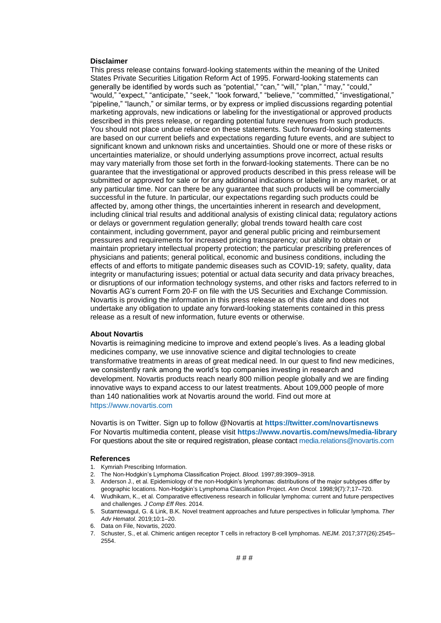#### **Disclaimer**

This press release contains forward-looking statements within the meaning of the United States Private Securities Litigation Reform Act of 1995. Forward-looking statements can generally be identified by words such as "potential," "can," "will," "plan," "may," "could," "would," "expect," "anticipate," "seek," "look forward," "believe," "committed," "investigational," "pipeline," "launch," or similar terms, or by express or implied discussions regarding potential marketing approvals, new indications or labeling for the investigational or approved products described in this press release, or regarding potential future revenues from such products. You should not place undue reliance on these statements. Such forward-looking statements are based on our current beliefs and expectations regarding future events, and are subject to significant known and unknown risks and uncertainties. Should one or more of these risks or uncertainties materialize, or should underlying assumptions prove incorrect, actual results may vary materially from those set forth in the forward-looking statements. There can be no guarantee that the investigational or approved products described in this press release will be submitted or approved for sale or for any additional indications or labeling in any market, or at any particular time. Nor can there be any guarantee that such products will be commercially successful in the future. In particular, our expectations regarding such products could be affected by, among other things, the uncertainties inherent in research and development, including clinical trial results and additional analysis of existing clinical data; regulatory actions or delays or government regulation generally; global trends toward health care cost containment, including government, payor and general public pricing and reimbursement pressures and requirements for increased pricing transparency; our ability to obtain or maintain proprietary intellectual property protection; the particular prescribing preferences of physicians and patients; general political, economic and business conditions, including the effects of and efforts to mitigate pandemic diseases such as COVID-19; safety, quality, data integrity or manufacturing issues; potential or actual data security and data privacy breaches, or disruptions of our information technology systems, and other risks and factors referred to in Novartis AG's current Form 20-F on file with the US Securities and Exchange Commission. Novartis is providing the information in this press release as of this date and does not undertake any obligation to update any forward-looking statements contained in this press release as a result of new information, future events or otherwise.

#### **About Novartis**

Novartis is reimagining medicine to improve and extend people's lives. As a leading global medicines company, we use innovative science and digital technologies to create transformative treatments in areas of great medical need. In our quest to find new medicines, we consistently rank among the world's top companies investing in research and development. Novartis products reach nearly 800 million people globally and we are finding innovative ways to expand access to our latest treatments. About 109,000 people of more than 140 nationalities work at Novartis around the world. Find out more at [https://www.novartis.com](https://www.novartis.com/)

Novartis is on Twitter. Sign up to follow @Novartis at **<https://twitter.com/novartisnews>** For Novartis multimedia content, please visit **https:/[/www.novartis.com/news/media-library](http://www.novartis.com/news/media-library)** For questions about the site or required registration, please contact [media.relations@novartis.com](mailto:media.relations@novartis.com)

#### **References**

- 1. Kymriah Prescribing Information.
- 2. The Non-Hodgkin's Lymphoma Classification Project. *Blood.* 1997;89:3909–3918.
- 3. Anderson J., et al. Epidemiology of the non-Hodgkin's lymphomas: distributions of the major subtypes differ by geographic locations. Non-Hodgkin's Lymphoma Classification Project. *Ann Oncol.* 1998;9(7):7;17–720.
- 4. Wudhikarn, K., et al. Comparative effectiveness research in follicular lymphoma: current and future perspectives and challenges. *J Comp Eff Res.* 2014.
- 5. Sutamtewagul, G. & Link, B.K. Novel treatment approaches and future perspectives in follicular lymphoma. *Ther Adv Hematol.* 2019;10:1–20.
- 6. Data on File, Novartis, 2020.
- 7. Schuster, S., et al. Chimeric antigen receptor T cells in refractory B-cell lymphomas. *NEJM.* 2017;377(26):2545– 2554.